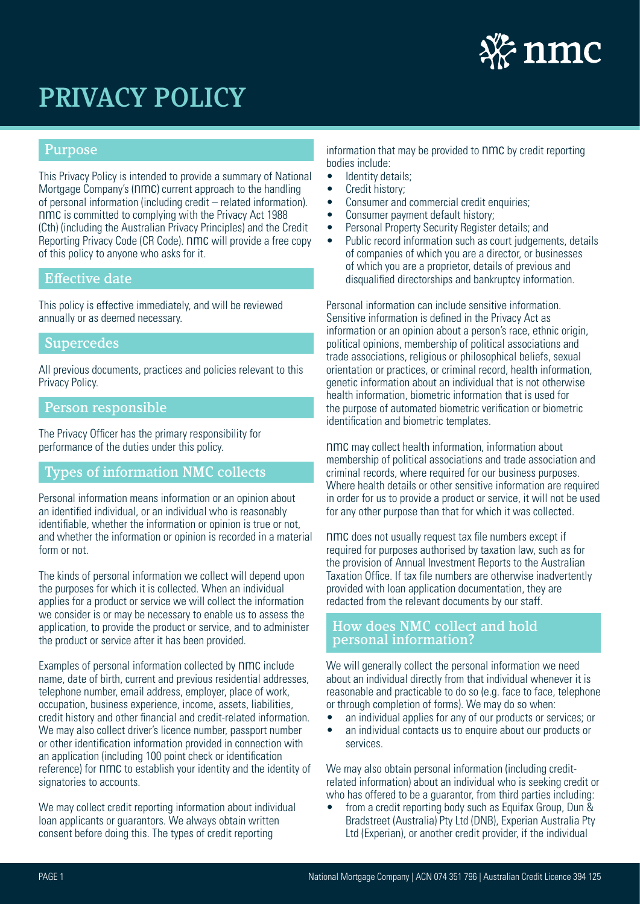

# Purpose

This Privacy Policy is intended to provide a summary of National Mortgage Company's (nmc) current approach to the handling of personal information (including credit – related information). nmc is committed to complying with the Privacy Act 1988 (Cth) (including the Australian Privacy Principles) and the Credit Reporting Privacy Code (CR Code). nmc will provide a free copy of this policy to anyone who asks for it.

### Effective date

This policy is effective immediately, and will be reviewed annually or as deemed necessary.

#### **Supercedes**

All previous documents, practices and policies relevant to this Privacy Policy.

### Person responsible

The Privacy Officer has the primary responsibility for performance of the duties under this policy.

### Types of information NMC collects

Personal information means information or an opinion about an identified individual, or an individual who is reasonably identifiable, whether the information or opinion is true or not, and whether the information or opinion is recorded in a material form or not.

The kinds of personal information we collect will depend upon the purposes for which it is collected. When an individual applies for a product or service we will collect the information we consider is or may be necessary to enable us to assess the application, to provide the product or service, and to administer the product or service after it has been provided.

Examples of personal information collected by nmc include name, date of birth, current and previous residential addresses, telephone number, email address, employer, place of work, occupation, business experience, income, assets, liabilities, credit history and other financial and credit-related information. We may also collect driver's licence number, passport number or other identification information provided in connection with an application (including 100 point check or identification reference) for nmc to establish your identity and the identity of signatories to accounts.

We may collect credit reporting information about individual loan applicants or guarantors. We always obtain written consent before doing this. The types of credit reporting

information that may be provided to nmc by credit reporting bodies include:

- Identity details;
- Credit history;
- Consumer and commercial credit enquiries:
- Consumer payment default history;
- Personal Property Security Register details; and
- Public record information such as court judgements, details of companies of which you are a director, or businesses of which you are a proprietor, details of previous and disqualified directorships and bankruptcy information.

Personal information can include sensitive information. Sensitive information is defined in the Privacy Act as information or an opinion about a person's race, ethnic origin, political opinions, membership of political associations and trade associations, religious or philosophical beliefs, sexual orientation or practices, or criminal record, health information, genetic information about an individual that is not otherwise health information, biometric information that is used for the purpose of automated biometric verification or biometric identification and biometric templates.

nmc may collect health information, information about membership of political associations and trade association and criminal records, where required for our business purposes. Where health details or other sensitive information are required in order for us to provide a product or service, it will not be used for any other purpose than that for which it was collected.

nmc does not usually request tax file numbers except if required for purposes authorised by taxation law, such as for the provision of Annual Investment Reports to the Australian Taxation Office. If tax file numbers are otherwise inadvertently provided with loan application documentation, they are redacted from the relevant documents by our staff.

### How does NMC collect and hold personal information?

We will generally collect the personal information we need about an individual directly from that individual whenever it is reasonable and practicable to do so (e.g. face to face, telephone or through completion of forms). We may do so when:

- an individual applies for any of our products or services; or
- an individual contacts us to enquire about our products or services.

We may also obtain personal information (including creditrelated information) about an individual who is seeking credit or who has offered to be a quarantor, from third parties including:

• from a credit reporting body such as Equitax Group, Dun & Bradstreet (Australia) Pty Ltd (DNB), Experian Australia Pty Ltd (Experian), or another credit provider, if the individual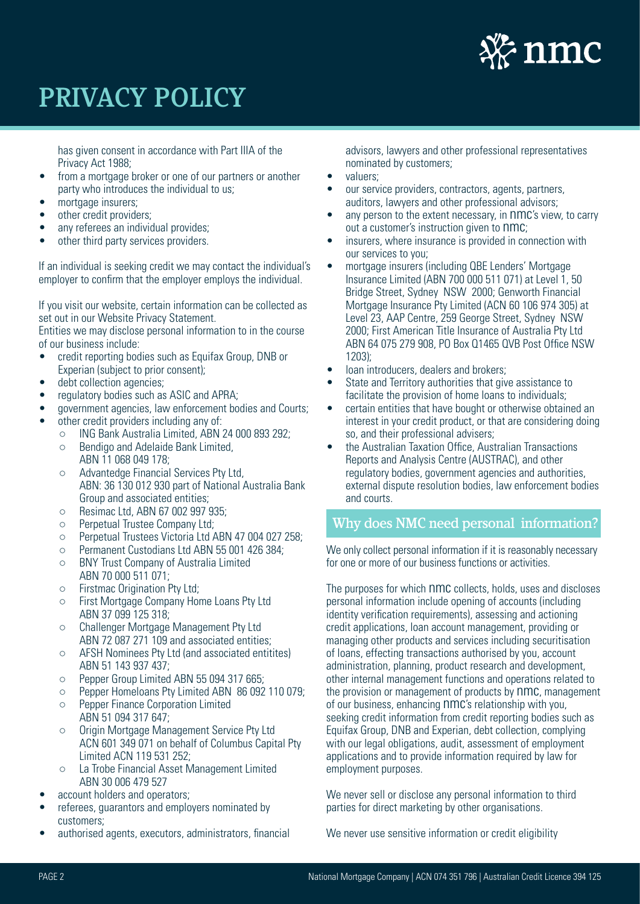

has given consent in accordance with Part IIIA of the Privacy Act 1988;

- from a mortgage broker or one of our partners or another party who introduces the individual to us;
- mortgage insurers;
- other credit providers;
- any referees an individual provides;
- other third party services providers.

If an individual is seeking credit we may contact the individual's employer to confirm that the employer employs the individual.

If you visit our website, certain information can be collected as set out in our Website Privacy Statement.

Entities we may disclose personal information to in the course of our business include:

- credit reporting bodies such as Equifax Group, DNB or Experian (subject to prior consent);
- debt collection agencies;
- regulatory bodies such as ASIC and APRA;
- government agencies, law enforcement bodies and Courts;
- other credit providers including any of:
	- ING Bank Australia Limited, ABN 24 000 893 292;
	- Bendigo and Adelaide Bank Limited, ABN 11 068 049 178;
	- Advantedge Financial Services Pty Ltd, ABN: 36 130 012 930 part of National Australia Bank Group and associated entities;
	- Resimac Ltd, ABN 67 002 997 935;
	- Perpetual Trustee Company Ltd;
	- Perpetual Trustees Victoria Ltd ABN 47 004 027 258;
	- Permanent Custodians Ltd ABN 55 001 426 384;
	- BNY Trust Company of Australia Limited ABN 70 000 511 071;
	- Firstmac Origination Pty Ltd;
	- First Mortgage Company Home Loans Pty Ltd ABN 37 099 125 318;
	- Challenger Mortgage Management Pty Ltd ABN 72 087 271 109 and associated entities;
	- AFSH Nominees Pty Ltd (and associated entitites) ABN 51 143 937 437;
	- Pepper Group Limited ABN 55 094 317 665;
	- Pepper Homeloans Pty Limited ABN 86 092 110 079;
	- Pepper Finance Corporation Limited ABN 51 094 317 647;
	- Origin Mortgage Management Service Pty Ltd ACN 601 349 071 on behalf of Columbus Capital Pty Limited ACN 119 531 252;
	- La Trobe Financial Asset Management Limited ABN 30 006 479 527
- account holders and operators:
- referees, guarantors and employers nominated by customers;
- authorised agents, executors, administrators, financial

advisors, lawyers and other professional representatives nominated by customers;

- valuers;
- our service providers, contractors, agents, partners, auditors, lawyers and other professional advisors;
- any person to the extent necessary, in nmc's view, to carry out a customer's instruction given to nmc;
- insurers, where insurance is provided in connection with our services to you;
- mortgage insurers (including QBE Lenders' Mortgage Insurance Limited (ABN 700 000 511 071) at Level 1, 50 Bridge Street, Sydney NSW 2000; Genworth Financial Mortgage Insurance Pty Limited (ACN 60 106 974 305) at Level 23, AAP Centre, 259 George Street, Sydney NSW 2000; First American Title Insurance of Australia Pty Ltd ABN 64 075 279 908, PO Box Q1465 QVB Post Office NSW 1203);
- loan introducers, dealers and brokers;
- State and Territory authorities that give assistance to facilitate the provision of home loans to individuals;
- certain entities that have bought or otherwise obtained an interest in your credit product, or that are considering doing so, and their professional advisers;
- the Australian Taxation Office, Australian Transactions Reports and Analysis Centre (AUSTRAC), and other regulatory bodies, government agencies and authorities, external dispute resolution bodies, law enforcement bodies and courts.

# Why does NMC need personal information?

We only collect personal information if it is reasonably necessary for one or more of our business functions or activities.

The purposes for which nmc collects, holds, uses and discloses personal information include opening of accounts (including identity verification requirements), assessing and actioning credit applications, loan account management, providing or managing other products and services including securitisation of loans, effecting transactions authorised by you, account administration, planning, product research and development, other internal management functions and operations related to the provision or management of products by nmc, management of our business, enhancing nmc's relationship with you, seeking credit information from credit reporting bodies such as Equifax Group, DNB and Experian, debt collection, complying with our legal obligations, audit, assessment of employment applications and to provide information required by law for employment purposes.

We never sell or disclose any personal information to third parties for direct marketing by other organisations.

We never use sensitive information or credit eligibility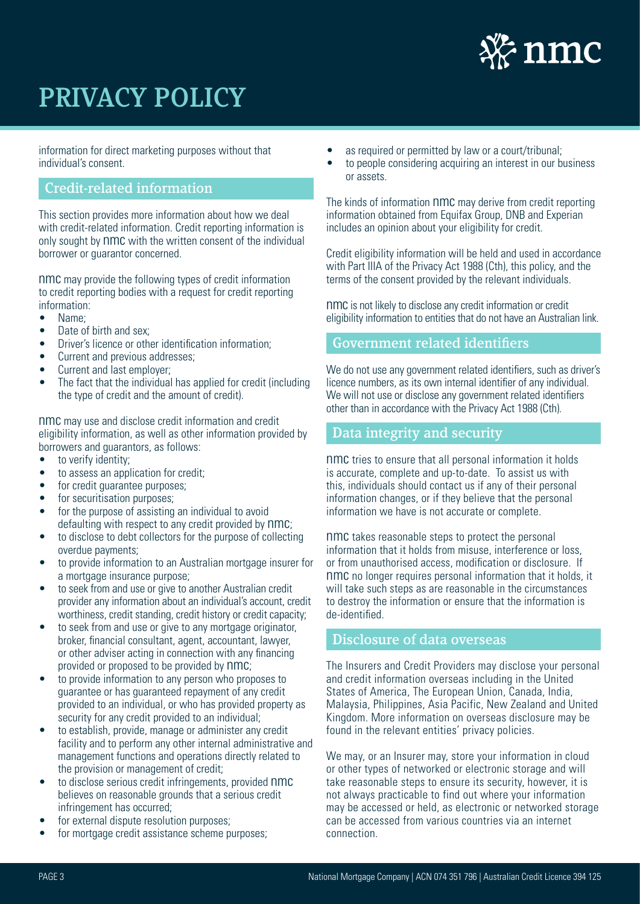

information for direct marketing purposes without that individual's consent.

# Credit-related information

This section provides more information about how we deal with credit-related information. Credit reporting information is only sought by nmc with the written consent of the individual borrower or guarantor concerned.

nmc may provide the following types of credit information to credit reporting bodies with a request for credit reporting information:

- Name;
- Date of birth and sex;
- Driver's licence or other identification information;
- Current and previous addresses:
- Current and last employer;
- The fact that the individual has applied for credit (including the type of credit and the amount of credit).

nmc may use and disclose credit information and credit eligibility information, as well as other information provided by borrowers and guarantors, as follows:

- to verify identity;
- to assess an application for credit;
- for credit quarantee purposes:
- for securitisation purposes:
- for the purpose of assisting an individual to avoid defaulting with respect to any credit provided by  $nmc$ ;
- to disclose to debt collectors for the purpose of collecting overdue payments;
- to provide information to an Australian mortgage insurer for a mortgage insurance purpose;
- to seek from and use or give to another Australian credit provider any information about an individual's account, credit worthiness, credit standing, credit history or credit capacity;
- to seek from and use or give to any mortgage originator. broker, financial consultant, agent, accountant, lawyer, or other adviser acting in connection with any financing provided or proposed to be provided by nmc;
- to provide information to any person who proposes to guarantee or has guaranteed repayment of any credit provided to an individual, or who has provided property as security for any credit provided to an individual;
- to establish, provide, manage or administer any credit facility and to perform any other internal administrative and management functions and operations directly related to the provision or management of credit;
- to disclose serious credit infringements, provided nmc believes on reasonable grounds that a serious credit infringement has occurred;
- for external dispute resolution purposes:
- for mortgage credit assistance scheme purposes:
- as required or permitted by law or a court/tribunal:
- to people considering acquiring an interest in our business or assets.

The kinds of information nmc may derive from credit reporting information obtained from Equifax Group, DNB and Experian includes an opinion about your eligibility for credit.

Credit eligibility information will be held and used in accordance with Part IIIA of the Privacy Act 1988 (Cth), this policy, and the terms of the consent provided by the relevant individuals.

nmc is not likely to disclose any credit information or credit eligibility information to entities that do not have an Australian link.

#### Government related identifiers

We do not use any government related identifiers, such as driver's licence numbers, as its own internal identifier of any individual. We will not use or disclose any government related identifiers other than in accordance with the Privacy Act 1988 (Cth).

#### Data integrity and security

nmc tries to ensure that all personal information it holds is accurate, complete and up-to-date. To assist us with this, individuals should contact us if any of their personal information changes, or if they believe that the personal information we have is not accurate or complete.

nmc takes reasonable steps to protect the personal information that it holds from misuse, interference or loss, or from unauthorised access, modification or disclosure. If nmc no longer requires personal information that it holds, it will take such steps as are reasonable in the circumstances to destroy the information or ensure that the information is de-identified.

#### Disclosure of data overseas

í

The Insurers and Credit Providers may disclose your personal and credit information overseas including in the United States of America, The European Union, Canada, India, Malaysia, Philippines, Asia Pacific, New Zealand and United Kingdom. More information on overseas disclosure may be found in the relevant entities' privacy policies.

We may, or an Insurer may, store your information in cloud or other types of networked or electronic storage and will take reasonable steps to ensure its security, however, it is not always practicable to find out where your information may be accessed or held, as electronic or networked storage can be accessed from various countries via an internet connection.